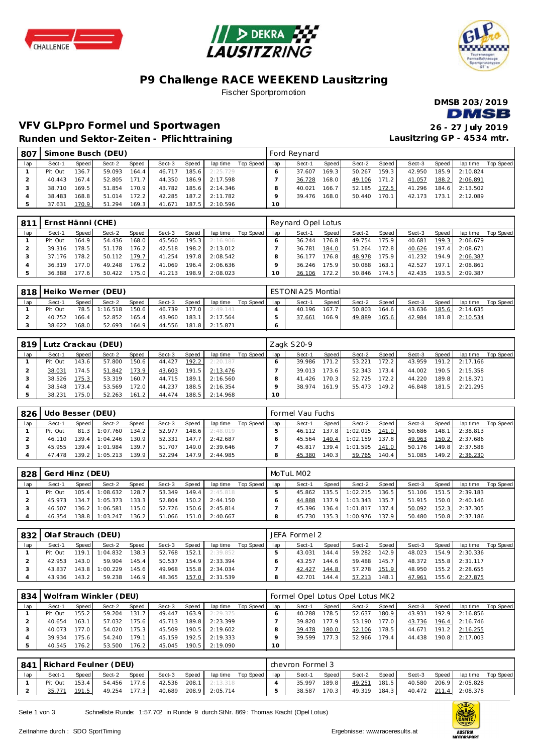





# **P9 Challenge RACE WEEKEND Lausitzring**

Fischer Sportpromotion



## **VFV GLPpro Formel und Sportwagen 26 - 27 July 2019 Runden und Sektor-Zeiten - Pflichttraining**

**Lausitzring GP - 4534 mtr.**

| - 807 |         |       | Simone Busch (DEU) |       |        |                        |          |           |                 | Ford Reynard |       |        |           |        |       |          |           |
|-------|---------|-------|--------------------|-------|--------|------------------------|----------|-----------|-----------------|--------------|-------|--------|-----------|--------|-------|----------|-----------|
| lap   | Sect-1  | Speed | Sect-2             | Speed | Sect-3 | Speed                  | lap time | Top Speed | lap             | Sect-1       | Speed | Sect-2 | Speed     | Sect-3 | Speed | lap time | Top Speed |
|       | Pit Out | 136.7 | 59.093             | 164.4 | 46.717 | 185.6                  | 2:25.729 |           |                 | 37.607       | 169.3 | 50.267 | 159.3     | 42.950 | 185.9 | 2:10.824 |           |
|       | 40.443  | 167.4 | 52.805             | 171.7 | 44.350 | 186.9                  | 2:17.598 |           |                 | 36.728       | 168.0 | 49.106 | $171.2$ J | 41.057 | 188.2 | 2:06.891 |           |
|       | 38.710  | 169.5 | 51.854             | 170.9 | 43.782 | 185.6                  | 2:14.346 |           |                 | 40.021       | 166.7 | 52.185 | 172.5     | 41.296 | 184.6 | 2:13.502 |           |
|       | 38.483  | 168.8 | 51.014             | 172.2 | 42.285 | 187.2                  | 2:11.782 |           | O               | 39.476       | 168.0 | 50.440 | 170.1     | 42.173 | 173.1 | 2:12.089 |           |
|       | 37.631  | 170.9 | 51.294             | 169.3 | 41.671 | $187.5$ $\blacksquare$ | 2:10.596 |           | 10 <sup>°</sup> |              |       |        |           |        |       |          |           |

| -811 | Ernst Hänni (CHE) |         |        |                    |        |         |          |           |     | Reynard Opel Lotus |        |        |       |        |       |          |           |
|------|-------------------|---------|--------|--------------------|--------|---------|----------|-----------|-----|--------------------|--------|--------|-------|--------|-------|----------|-----------|
| lap  | Sect-1            | Speed I | Sect-2 | Speed              | Sect-3 | Speed   | lap time | Top Speed | lap | Sect-1             | Speed  | Sect-2 | Speed | Sect-3 | Speed | lap time | Top Speed |
|      | Pit Out           | 164.9   | 54.436 | 168.0              | 45.560 | 195.3   | 2:16.906 |           |     | 36.244             | 176.81 | 49.754 | 175.9 | 40.681 | 199.3 | 2:06.679 |           |
|      | 39.316            | 178.5   | 51.178 | 176.2 <sub>1</sub> | 42.518 | 198.2   | 2:13.012 |           |     | 36.781             | 184.0  | 51.264 | 172.8 | 40.626 | 197.4 | 2:08.671 |           |
|      | 37.176            | 178.2   | 50.112 | 179.7              | 41.254 | 197.8 l | 2:08.542 |           |     | 36.177             | 176.8  | 48.978 | 175.9 | 41.232 | 194.9 | 2:06.387 |           |
|      | 36.319            | 177.0   | 49.248 | 176.2              | 41.069 | 196.4   | 2:06.636 |           |     | 36.246             | 175.9  | 50.088 | 163.1 | 42.527 | 197.1 | 2:08.861 |           |
|      | 36.388            | 177.6   | 50.422 | 175.0              | 41.213 | 198.9   | 2:08.023 |           | 10  | 36.106             | 172.2  | 50.846 | 174.5 | 42.435 | 193.5 | 2:09.387 |           |

| 818 |         |       | Heiko Werner (DEU) |       |        |       |          |           |     | ESTONIA25 Montial |           |        |       |        |       |          |           |
|-----|---------|-------|--------------------|-------|--------|-------|----------|-----------|-----|-------------------|-----------|--------|-------|--------|-------|----------|-----------|
| lap | Sect-1  | Speed | Sect-2             | Speed | Sect-3 | Speed | lap time | Top Speed | lap | Sect-1            | Speed I   | Sect-2 | Speed | Sect-3 | Speed | lap time | Top Speed |
|     | Pit Out | 78.5  | 1:16.518           | 150.6 | 46.739 | 177.0 | 2:49.141 |           |     | 40.196            | $167.7$ . | 50.803 | 164.6 | 43.636 | 185.6 | 2:14.635 |           |
|     | 40.752  | 166.4 | 52.852             | 165.4 | 43.960 | 183.1 | 2:17.564 |           |     | 37.661            | 166.91    | 49.889 | 165.6 | 42.984 | 181.8 | 2:10.534 |           |
|     | 38.622  | 168.0 | 52.693             | 164.9 | 44.556 | 181.8 | 2:15.871 |           |     |                   |           |        |       |        |       |          |           |

| 819 |         |         | Lutz Crackau (DEU) |       |        |       |          |           |     | Zagk S20-9 |       |        |         |        |       |          |           |
|-----|---------|---------|--------------------|-------|--------|-------|----------|-----------|-----|------------|-------|--------|---------|--------|-------|----------|-----------|
| lap | Sect-1  | Speed I | Sect-2             | Speed | Sect-3 | Speed | lap time | Top Speed | lap | Sect-1     | Speed | Sect-2 | Speed   | Sect-3 | Speed | lap time | Top Speed |
|     | Pit Out | 143.6   | 57.800             | 150.6 | 44.427 | 192.2 | 2:20.187 |           |     | 39.986     | 171.2 | 53.221 | $172.2$ | 43.959 | 191.2 | 2:17.166 |           |
|     | 38.031  | 174.5   | 51.842             | 173.9 | 43.603 | 191.5 | 2:13.476 |           |     | 39.013     | 173.6 | 52.343 | 173.4   | 44.002 | 190.5 | 2:15.358 |           |
|     | 38.526  | 175.3   | 53.319             | 160.7 | 44.715 | 189.1 | 2:16.560 |           |     | 41.426     | 170.3 | 52.725 | 172.2   | 44.220 | 189.8 | 2:18.371 |           |
|     | 38.548  | 173.4   | 53.569             | 172.0 | 44.237 | 188.5 | 2:16.354 |           |     | 38.974     | 161.9 | 55.473 | 149.2   | 46.848 | 181.5 | 2:21.295 |           |
|     | 38.231  | 175.0   | 52.263             | 161.2 | 44.474 | 188.5 | 2:14.968 |           | 10  |            |       |        |         |        |       |          |           |

| 826 | Udo Besser (DEU) |       |                  |       |        |       |          |           |     | Formel Vau Fuchs |       |                |       |        |       |                |           |
|-----|------------------|-------|------------------|-------|--------|-------|----------|-----------|-----|------------------|-------|----------------|-------|--------|-------|----------------|-----------|
| lap | Sect-1           | Speed | Sect-2           | Speed | Sect-3 | Speed | lap time | Top Speed | lap | Sect-1           | Speed | Sect-2         | Speed | Sect-3 | Speed | lap time       | Top Speed |
|     | Pit Out          |       | 81.3 1:07.760    | 134.2 | 52.977 | 148.6 | 2:48.019 |           |     | 46.112           |       | 137.8 1:02.015 | 141.0 | 50.686 | 148.1 | 2:38.813       |           |
|     | 46.110           |       | $139.4$ 1:04.246 | 130.9 | 52.331 | 147.7 | 2:42.687 |           |     | 45.564           |       | 140.4 1:02.159 | 137.8 | 49.963 |       | 150.2 2:37.686 |           |
|     | 45.955           |       | 139.4 1:01.984   | 139.7 | 51.707 | 149.0 | 2:39.646 |           |     | 45.817           |       | 139.4 1:01.595 | 141.0 | 50.176 |       | 149.8 2:37.588 |           |
|     | 47.478           |       | $139.2$ 1:05.213 | 139.9 | 52.294 | 147.9 | 2:44.985 |           |     | 45.380           | 140.3 | 59.765         | 140.4 | 51.085 | 149.2 | 2:36.230       |           |

| 828 | Gerd Hinz (DEU) |       |                  |              |        |       |          |           |     | MoTuL M02 |         |          |       |        |       |          |           |
|-----|-----------------|-------|------------------|--------------|--------|-------|----------|-----------|-----|-----------|---------|----------|-------|--------|-------|----------|-----------|
| lap | Sect-1          | Speed | Sect-2           | <b>Speed</b> | Sect-3 | Speed | lap time | Top Speed | lap | Sect-1    | Speed I | Sect-2   | Speed | Sect-3 | Speed | lap time | Top Speed |
|     | Pit Out         | 105.4 | 1:08.632         | 128.7        | 53.349 | 149.4 | 2:45.818 |           |     | 45.862    | 135.5   | 1:02.215 | 136.5 | 51.106 | 151.5 | 2:39.183 |           |
|     | 45.973          | 134.7 | 1:05.373         | 133.3        | 52.804 | 150.2 | 2:44.150 |           |     | 44.888    | 137.9   | 1:03.343 | 135.7 | 51.915 | 150.0 | 2:40.146 |           |
|     | 46.507          |       | $136.2$ 1:06.581 | 115.0        | 52.726 | 150.6 | 2:45.814 |           |     | 45.396    | 136.4   | 1:01.817 | 137.4 | 50.092 | 152.3 | 2:37.305 |           |
|     | 46.354          | 138.8 | 1:03.247         | $136.2 -$    | 51.066 | 151.0 | 2:40.667 |           |     | 45.730    | 135.3   | 1:00.976 | 137.9 | 50.480 | 150.8 | 2:37.186 |           |

| 832 |         |       | Olaf Strauch (DEU) |              |        |       |          |           |     | JEFA Formel 2 |       |        |        |        |         |                |           |
|-----|---------|-------|--------------------|--------------|--------|-------|----------|-----------|-----|---------------|-------|--------|--------|--------|---------|----------------|-----------|
| lap | Sect-1  | Speed | Sect-2             | <b>Speed</b> | Sect-3 | Speed | lap time | Top Speed | lap | Sect-1        | Speed | Sect-2 | Speed, | Sect-3 | Speed   | lap time       | Top Speed |
|     | Pit Out | 119.1 | 1:04.832           | 138.3        | 52.768 | 152.1 | 2:39.852 |           |     | 43.031        | 144.4 | 59.282 | 142.9  | 48.023 | 154.9   | 2:30.336       |           |
|     | 42.953  | 143.0 | 59.904             | 145.4        | 50.537 | 154.9 | 2:33.394 |           |     | 43.257        | 144.6 | 59.488 | 145.7  | 48.372 |         | 155.8 2:31.117 |           |
|     | 43.837  | 143.8 | 1:00.229           | 145.6        | 49.968 | 155.8 | 2:34.034 |           |     | 42.427        | 144.8 | 57.278 | 151.9  | 48.950 | $155.2$ | 2:28.655       |           |
|     | 43.936  | 143.2 | 59.238             | 146.9        | 48.365 | 157.0 | 2:31.539 |           |     | 42.701        | 144.4 | 57.213 | 148.1  | 47.961 | 155.6   | 2:27.875       |           |

| 834 |         |       | Wolfram Winkler (DEU) |                    |        |       |                  |                    |     | Formel Opel Lotus Opel Lotus MK2 |         |        |         |        |       |          |           |
|-----|---------|-------|-----------------------|--------------------|--------|-------|------------------|--------------------|-----|----------------------------------|---------|--------|---------|--------|-------|----------|-----------|
| lap | Sect-1  | Speed | Sect-2                | Speed              | Sect-3 | Speed |                  | lap time Top Speed | lap | Sect-1                           | Speed I | Sect-2 | Speed   | Sect-3 | Speed | lap time | Top Speed |
|     | Pit Out | 155.2 | 59.204                | 131.7              | 49.447 |       | $163.9$ 2:29.375 |                    |     | 40.288                           | 178.5   | 52.637 | 180.9   | 43.931 | 192.9 | 2:16.856 |           |
|     | 40.654  | 163.1 | 57.032                | 175.6              | 45.713 |       | 189.8 2:23.399   |                    |     | 39.820                           | 177.91  | 53.190 | 177.0   | 43.736 | 196.4 | 2:16.746 |           |
|     | 40.073  | 177.0 | 54.020                | 175.3 <sub>1</sub> | 45.509 | 190.5 | 2:19.602         |                    |     | 39.478                           | 180.0   | 52.106 | 178.5 I | 44.671 | 191.2 | 2:16.255 |           |
|     | 39.934  | 175.6 | 54.240                | 179.11             | 45.159 | 192.5 | 2:19.333         |                    |     | 39.599                           | 177.3   | 52.966 | 179.4   | 44.438 | 190.8 | 2:17.003 |           |
|     | 40.545  | 176.2 | 53.500                | 176.2 l            | 45.045 | 190.5 | 2:19.090         |                    | 10  |                                  |         |        |         |        |       |          |           |

|     | 841   Richard Feulner (DEU) |       |              |        |                       |                             | chevron Formel 3 |       |              |       |                                    |                                 |  |
|-----|-----------------------------|-------|--------------|--------|-----------------------|-----------------------------|------------------|-------|--------------|-------|------------------------------------|---------------------------------|--|
| lap | Sect-1                      | Speed | Sect-2 Speed | Sect-3 |                       | Speed laptime Top Speed lap | Sect-1           | Speed | Sect-2       | Speed |                                    | Sect-3 Speed lap time Top Speed |  |
|     | Pit Out                     | 153.4 | 54.456 177.6 |        | 42.536 208.1 2:13.318 |                             | 35.997           | 189.8 | 49.251 181.5 |       |                                    | 40.580 206.9 2:05.828           |  |
|     | 35.771 191.5                |       | 49.254 177.3 |        | 40.689 208.9 2:05.714 |                             | 38.587           | 170.3 |              |       | 49.319 184.3 40.472 211.4 2:08.378 |                                 |  |

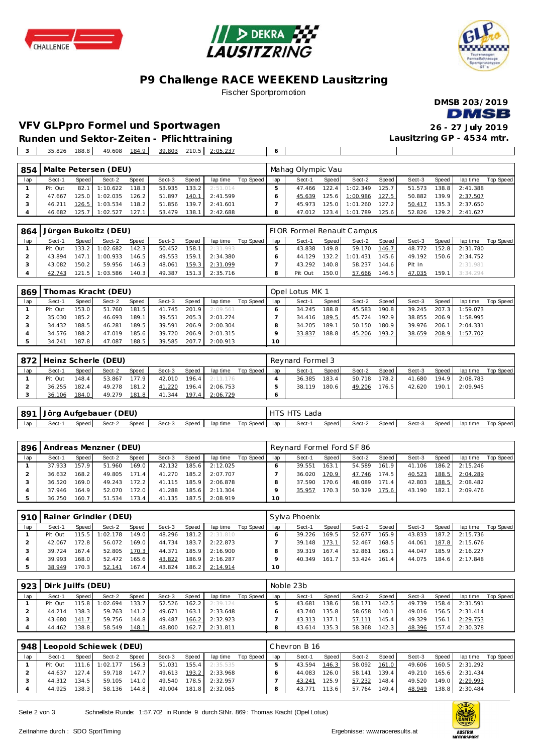





## **P9 Challenge RACE WEEKEND Lausitzring**

#### Fischer Sportpromotion



### **VFV GLPpro Formel und Sportwagen 26 - 27 July 2019**

**Lausitzring GP - 4534 mtr.**

the control of the control of the

 $\mathbf{I}$ 

**Runden und Sektor-Zeiten - Pflichttraining** 35.826 188.8 49.608 184.9 39.803 210.5 2:05.237 **6**

| 854 |         |        | Malte Petersen (DEU) |       |        |       |          |           |     | Mahag Olympic Vau |       |                |       |        |       |          |           |
|-----|---------|--------|----------------------|-------|--------|-------|----------|-----------|-----|-------------------|-------|----------------|-------|--------|-------|----------|-----------|
| lap | Sect-1  | Speed  | Sect-2               | Speed | Sect-3 | Speed | lap time | Top Speed | lap | Sect-1            | Speed | Sect-2         | Speed | Sect-3 | Speed | lap time | Top Speed |
|     | Pit Out | 82.1   | : 10.622             | 118.3 | 53.935 | 133.2 | 2:51.014 |           |     | 47.466            | 122.4 | 1:02.349       | 125.7 | 51.573 | 138.8 | 2:41.388 |           |
|     | 47.667  | 125.01 | :02.035              | 126.2 | 51.897 | 140.1 | 2:41.599 |           |     | 45.639            |       | 125.6 1:00.986 | 127.5 | 50.882 | 139.9 | 2:37.507 |           |
|     | 46.211  | 126.5  | : 03.534             | 118.2 | 51.856 | 139.7 | 2:41.601 |           |     | 45.973            | 125.0 | 1:01.260       | 127.2 | 50.417 | 135.3 | 2:37.650 |           |
|     | 46.682  | 125.7  | : 02.527             | 127.1 | 53.479 | 138.1 | 2:42.688 |           |     | 47.012            | 123.4 | 1:01.789       | 125.6 | 52.826 | 129.2 | 2:41.627 |           |

| 864 |         |       | Jürgen Bukoitz (DEU) |       |        |       |                  |             |     | FIOR Formel Renault Campus |         |          |         |        |       |          |           |
|-----|---------|-------|----------------------|-------|--------|-------|------------------|-------------|-----|----------------------------|---------|----------|---------|--------|-------|----------|-----------|
| lap | Sect-1  | Speed | Sect-2               | Speed | Sect-3 | Speed | lap time         | Top Speed I | lap | Sect-1                     | Speed I | Sect-2   | Speed i | Sect-3 | Speed | lap time | Top Speed |
|     | Pit Out | 133.2 | 1:02.682             | 142.3 | 50.452 |       | $158.1$ 2:31.993 |             |     | 43.838                     | 149.8   | 59.170   | 146.7   | 48.772 | 152.8 | 2:31.780 |           |
|     | 43.894  | 147.1 | 1:00.933             | 146.5 | 49.553 |       | 159.1 2:34.380   |             |     | 44.129                     | 132.2   | 1:01.431 | 145.6   | 49.192 | 150.6 | 2:34.752 |           |
|     | 43.082  | 150.2 | 59.956               | 146.3 | 48.061 | 159.3 | 2:31.099         |             |     | 43.292                     | 140.8   | 58.237   | 144.6   | Pit In |       | 2:31.981 |           |
|     | 42.743  | 121.5 | 1:03.586             | 140.3 | 49.387 | 151.3 | 2:35.716         |             |     | Pit Out                    | 150.01  | 57.666   | 146.5   | 47.035 | 159.1 | 3:34.294 |           |

| 869 |         |       | Thomas Kracht (DEU) |       |        |       |          |           |     | Opel Lotus MK 1 |                    |        |       |        |       |          |           |
|-----|---------|-------|---------------------|-------|--------|-------|----------|-----------|-----|-----------------|--------------------|--------|-------|--------|-------|----------|-----------|
| lap | Sect-1  | Speed | Sect-2              | Speed | Sect-3 | Speed | lap time | Top Speed | lap | Sect-1          | Speed              | Sect-2 | Speed | Sect-3 | Speed | lap time | Top Speed |
|     | Pit Out | 153.0 | 51.760              | 181.5 | 41.745 | 201.9 | 2:09.561 |           |     | 34.245          | 188.8              | 45.583 | 190.8 | 39.245 | 207.3 | 1:59.073 |           |
|     | 35.030  | 185.2 | 46.693              | 189.1 | 39.551 | 205.3 | 2:01.274 |           |     | 34.416          | 189.5              | 45.724 | 192.9 | 38.855 | 206.9 | 1:58.995 |           |
|     | 34.432  | 188.5 | 46.281              | 189.5 | 39.591 | 206.9 | 2:00.304 |           |     | 34.205          | 189.1              | 50.150 | 180.9 | 39.976 | 206.1 | 2:04.331 |           |
|     | 34.576  | 188.2 | 47.019              | 185.6 | 39.720 | 206.9 | 2:01.315 |           |     | 33.837          | 188.8 <sub>1</sub> | 45.206 | 193.2 | 38.659 | 208.9 | 1:57.702 |           |
|     | 34.241  | 187.8 | 47.087              | 188.5 | 39.585 | 207.7 | 2:00.913 |           | 10  |                 |                    |        |       |        |       |          |           |

|     | 872   Heinz Scherle (DEU) |       |        |       |        |       |          |           |     | Revnard Formel 3 |       |        |       |        |       |                |           |  |
|-----|---------------------------|-------|--------|-------|--------|-------|----------|-----------|-----|------------------|-------|--------|-------|--------|-------|----------------|-----------|--|
| lap | Sect-1                    | Speed | Sect-2 | Speed | Sect-3 | Speed | lap time | Top Speed | lap | Sect-1           | Speed | Sect-2 | Speed | Sect-3 | Speed | lap time       | Top Speed |  |
|     | Pit Out                   | 148.4 | 53.867 | 177.9 | 42.010 | 196.4 | 2:11.176 |           |     | 36.385           | 183.4 | 50.718 | 178.2 | 41.680 |       | 194.9 2:08.783 |           |  |
|     | 36.255                    | 182.4 | 49.278 | 181.2 | 41.220 | 196.4 | 2:06.753 |           |     | 38.119           | 180.6 | 49.206 | 176.5 | 42.620 | 190.1 | 2:09.945       |           |  |
|     | 36.106                    | 184.0 | 49.279 | 181.8 | 41.344 | 197.4 | 2:06.729 |           |     |                  |       |        |       |        |       |                |           |  |

|     | 891   Jörg Aufgebauer (DEU) |       |        |       |        |              |           |       | <b>HTS HTS Lada</b> |       |        |         |        |       |          |           |
|-----|-----------------------------|-------|--------|-------|--------|--------------|-----------|-------|---------------------|-------|--------|---------|--------|-------|----------|-----------|
| lap | Sect-1                      | Speed | Sect-2 | Speed | Sect-3 | Speed aptime | Top Speed | lap i | Sect-1              | Speed | Sect-2 | Speed I | Sect-3 | Speed | lap time | Top Speed |

|     | 896   Andreas Menzner (DEU) |         |        |       |        |       |          |           |     | Reynard Formel Ford SF 86 |       |        |       |        |       |                  |           |  |
|-----|-----------------------------|---------|--------|-------|--------|-------|----------|-----------|-----|---------------------------|-------|--------|-------|--------|-------|------------------|-----------|--|
| lap | Sect-1                      | Speed I | Sect-2 | Speed | Sect-3 | Speed | lap time | Top Speed | lap | Sect-1                    | Speed | Sect-2 | Speed | Sect-3 | Speed | lap time         | Top Speed |  |
|     | 37.933                      | 157.9   | 51.960 | 169.0 | 42.132 | 185.6 | 2:12.025 |           |     | 39.551                    | 163.1 | 54.589 | 161.9 | 41.106 |       | $186.2$ 2:15.246 |           |  |
|     | 36.632                      | 168.2   | 49.805 | 171.4 | 41.270 | 185.2 | 2:07.707 |           |     | 36.020                    | 170.9 | 47.746 | 174.5 | 40.523 | 188.5 | 2:04.289         |           |  |
|     | 36.520                      | 169.0   | 49.243 | 172.2 | 41.115 | 185.9 | 2:06.878 |           |     | 37.590                    | 170.6 | 48.089 | 171.4 | 42.803 | 188.5 | 2:08.482         |           |  |
|     | 37.946                      | 164.9   | 52.070 | 172.0 | 41.288 | 185.6 | 2:11.304 |           |     | 35.957                    | 170.3 | 50.329 | 175.6 | 43.190 | 182.1 | 2:09.476         |           |  |
|     | 36.250                      | 160.7   | 51.534 | 173.4 | 41.135 | 187.5 | 2:08.919 |           | 10  |                           |       |        |       |        |       |                  |           |  |

|     |         |       | 910 Rainer Grindler (DEU) |       |        |       |          |           | Sylva Phoenix |        |         |        |       |        |       |                |           |  |
|-----|---------|-------|---------------------------|-------|--------|-------|----------|-----------|---------------|--------|---------|--------|-------|--------|-------|----------------|-----------|--|
| lap | Sect-1  | Speed | Sect-2                    | Speed | Sect-3 | Speed | lap time | Top Speed | lap           | Sect-1 | Speed I | Sect-2 | Speed | Sect-3 | Speed | lap time       | Top Speed |  |
|     | Pit Out | 115.5 | 1:02.178                  | 149.0 | 48.296 | 181.2 | 2:31.810 |           |               | 39.226 | 169.5   | 52.677 | 165.9 | 43.833 |       | 187.2 2:15.736 |           |  |
|     | 42.067  | 172.8 | 56.072                    | 169.0 | 44.734 | 183.7 | 2:22.873 |           |               | 39.148 | 173.1   | 52.467 | 168.5 | 44.061 |       | 187.8 2:15.676 |           |  |
|     | 39.724  | 167.4 | 52.805                    | 170.3 | 44.371 | 185.9 | 2:16.900 |           |               | 39.319 | 167.4   | 52.861 | 165.1 | 44.047 |       | 185.9 2:16.227 |           |  |
|     | 39.993  | 168.0 | 52.472                    | 165.6 | 43.822 | 186.9 | 2:16.287 |           |               | 40.349 | 161.7   | 53.424 | 161.4 | 44.075 |       | 184.6 2:17.848 |           |  |
|     | 38.949  | 170.3 | 52.141                    | 167.4 | 43.824 | 186.2 | 2:14.914 |           | 10            |        |         |        |       |        |       |                |           |  |

| 923 | Dirk Juilfs (DEU) |         |          |       |        |       |          |           | Noble 23b |        |       |        |       |        |       |          |           |
|-----|-------------------|---------|----------|-------|--------|-------|----------|-----------|-----------|--------|-------|--------|-------|--------|-------|----------|-----------|
| lap | Sect-1            | Speed   | Sect-2   | Speed | Sect-3 | Speed | lap time | Top Speed | lap       | Sect-1 | Speed | Sect-2 | Speed | Sect-3 | Speed | lap time | Top Speed |
|     | Pit Out           | 115.8 l | 1:02.694 | 133.7 | 52.526 | 162.2 | 2:39.124 |           |           | 43.681 | 138.6 | 58.171 | 142.5 | 49.739 | 158.4 | 2:31.591 |           |
|     | 44.214            | 138.3   | 59.763   | 141.2 | 49.671 | 163.1 | 2:33.648 |           |           | 43.740 | 135.8 | 58.658 | 140.1 | 49.016 | 156.5 | 2:31.414 |           |
|     | 43.680            | 141.7   | 59.756   | 144.8 | 49.487 | 166.2 | 2:32.923 |           |           | 43.313 | 137.1 | 57.111 | 145.4 | 49.329 | 156.1 | 2:29.753 |           |
|     | 44.462            | 138.8   | 58.549   | 148.1 | 48.800 | 162.7 | 2:31.811 |           |           | 43.614 | 135.3 | 58.368 | 142.3 | 48.396 | 157.4 | 2:30.378 |           |

| 948 | Leopold Schiewek (DEU) |       |          |       |              |       |          |           |     | Chevron B 16 |        |        |       |        |           |          |           |  |
|-----|------------------------|-------|----------|-------|--------------|-------|----------|-----------|-----|--------------|--------|--------|-------|--------|-----------|----------|-----------|--|
| lap | Sect-1                 | Speed | Sect-2   | Speed | Sect-3       | Speed | lap time | Top Speed | lap | Sect-1       | Speed  | Sect-2 | Speed | Sect-3 | Speed     | lap time | Top Speed |  |
|     | Pit Out                | 111.6 | 1:02.177 | 156.3 | 51.031       | 155.4 | 2:35.535 |           |     | 43.594       | 146.3  | 58.092 | 161.0 | 49.606 | 160.5     | 2:31.292 |           |  |
|     | 44.637                 | 127.4 | 59.718   | 147.7 | 49.613       | 193.2 | 2:33.968 |           |     | 44.083       | 126.0  | 58.141 | 139.4 | 49.210 | $165.6$ I | 2:31.434 |           |  |
|     | 44.312                 | 134.5 | 59.105   | 141.0 | 49.540       | 178.5 | 2:32.957 |           |     | 43.241       | 125.9  | 57.232 | 148.4 | 49.520 | 149.0     | 2:29.993 |           |  |
|     | 44.925                 | 138.3 | 58.136   | 144.8 | 49.004 181.8 |       | 2:32.065 |           |     | 43.771       | 113.61 | 57.764 | 149.4 | 48.949 | 138.8     | 2:30.484 |           |  |
|     |                        |       |          |       |              |       |          |           |     |              |        |        |       |        |           |          |           |  |

Seite 2 von 3 Schnellste Runde: 1:57.702 in Runde 9 durch StNr. 869: Thomas Kracht (Opel Lotus)